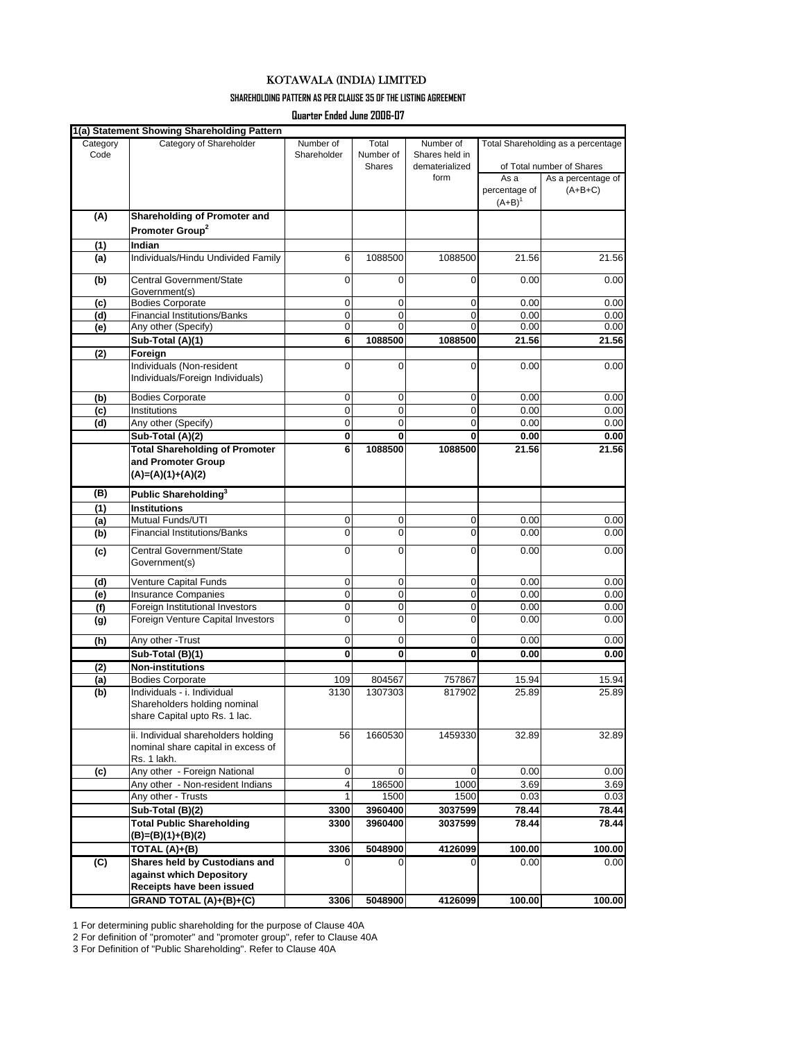## KOTAWALA (INDIA) LIMITED

## **SHAREHOLDING PATTERN AS PER CLAUSE 35 OF THE LISTING AGREEMENT**

**Quarter Ended June 2006-07**

| Code<br>Shareholder<br>Number of<br>Shares held in<br>dematerialized<br>of Total number of Shares<br><b>Shares</b><br>form<br>As a<br>As a percentage of<br>percentage of<br>$(A+B+C)$<br>$(A+B)^1$<br>Shareholding of Promoter and<br>(A)<br>Promoter Group <sup>2</sup><br>Indian<br>(1)<br>Individuals/Hindu Undivided Family<br>1088500<br>1088500<br>6<br>21.56<br>21.56<br>(a)<br>Central Government/State<br>0<br>$\mathbf 0$<br>0<br>0.00<br>(b)<br>Government(s)<br><b>Bodies Corporate</b><br>$\mathbf 0$<br>0<br>0<br>0.00<br>(c)<br><b>Financial Institutions/Banks</b><br>$\mathbf 0$<br>$\mathbf 0$<br>0<br>0.00<br>(d)<br>Any other (Specify)<br>$\mathbf 0$<br>$\mathbf 0$<br>$\Omega$<br>0.00<br>(e)<br>1088500<br>Sub-Total (A)(1)<br>6<br>1088500<br>21.56<br>Foreign<br>(2)<br>Individuals (Non-resident<br>$\mathbf 0$<br>$\mathbf 0$<br>0<br>0.00<br>Individuals/Foreign Individuals)<br><b>Bodies Corporate</b><br>$\mathbf 0$<br>$\mathbf 0$<br>0<br>0.00<br>(b)<br>$\mathbf 0$<br>$\mathbf 0$<br>0<br>Institutions<br>0.00<br>(c)<br>Any other (Specify)<br>$\mathbf 0$<br>$\mathbf 0$<br>0<br>0.00<br>(d)<br>Sub-Total (A)(2)<br>0<br>0.00<br>0<br>$\mathbf{0}$<br><b>Total Shareholding of Promoter</b><br>6<br>1088500<br>1088500<br>21.56<br>and Promoter Group<br>$(A)=(A)(1)+(A)(2)$<br>(B)<br>Public Shareholding <sup>3</sup><br><b>Institutions</b><br>(1)<br>Mutual Funds/UTI<br>0<br>0<br>0<br>0.00<br>(a)<br><b>Financial Institutions/Banks</b><br>0<br>$\mathbf 0$<br>0<br>0.00<br>(b)<br>Central Government/State<br>$\mathbf 0$<br>$\mathbf 0$<br>0<br>0.00<br>(c)<br>Government(s)<br>Venture Capital Funds<br>0<br>0<br>0.00<br>0<br>(d)<br><b>Insurance Companies</b><br>$\mathbf 0$<br>0<br>0<br>0.00<br>(e)<br>$\mathbf 0$<br>0<br>Foreign Institutional Investors<br>$\mathbf 0$<br>0.00<br>(f)<br>0<br>$\mathbf 0$<br>0<br>Foreign Venture Capital Investors<br>0.00<br>(g)<br>(h)<br>Any other - Trust<br>0<br>0<br>0<br>0.00<br>$\mathbf{0}$<br>$\mathbf 0$<br>$\bf{0}$<br>0.00<br>Sub-Total (B)(1)<br><b>Non-institutions</b><br>(2)<br><b>Bodies Corporate</b><br>109<br>804567<br>757867<br>15.94<br>(a)<br>(b)<br>Individuals - i. Individual<br>3130<br>1307303<br>817902<br>25.89<br>Shareholders holding nominal<br>share Capital upto Rs. 1 lac.<br>ii. Individual shareholders holding<br>56<br>1660530<br>1459330<br>32.89<br>nominal share capital in excess of<br>Rs. 1 lakh.<br>Any other - Foreign National<br>0<br>0<br>$\mathbf 0$<br>0.00<br>(c)<br>Any other - Non-resident Indians<br>4<br>186500<br>1000<br>3.69<br>1500<br>Any other - Trusts<br>1500<br>0.03<br>3960400<br>3037599<br>Sub-Total (B)(2)<br>3300<br>78.44<br><b>Total Public Shareholding</b><br>3300<br>3960400<br>3037599<br>78.44<br>$(B)=(B)(1)+(B)(2)$<br>TOTAL (A)+(B)<br>3306<br>5048900<br>4126099<br>100.00<br>Shares held by Custodians and<br>(C)<br>0.00<br>0<br>0<br>$\Omega$<br>against which Depository<br>Receipts have been issued<br>GRAND TOTAL (A)+(B)+(C)<br>3306<br>5048900<br>4126099<br>100.00 |          | 1(a) Statement Showing Shareholding Pattern |           |       |           |                                    |      |
|--------------------------------------------------------------------------------------------------------------------------------------------------------------------------------------------------------------------------------------------------------------------------------------------------------------------------------------------------------------------------------------------------------------------------------------------------------------------------------------------------------------------------------------------------------------------------------------------------------------------------------------------------------------------------------------------------------------------------------------------------------------------------------------------------------------------------------------------------------------------------------------------------------------------------------------------------------------------------------------------------------------------------------------------------------------------------------------------------------------------------------------------------------------------------------------------------------------------------------------------------------------------------------------------------------------------------------------------------------------------------------------------------------------------------------------------------------------------------------------------------------------------------------------------------------------------------------------------------------------------------------------------------------------------------------------------------------------------------------------------------------------------------------------------------------------------------------------------------------------------------------------------------------------------------------------------------------------------------------------------------------------------------------------------------------------------------------------------------------------------------------------------------------------------------------------------------------------------------------------------------------------------------------------------------------------------------------------------------------------------------------------------------------------------------------------------------------------------------------------------------------------------------------------------------------------------------------------------------------------------------------------------------------------------------------------------------------------------------------------------------------------------------------------------------------------------------------------------------------------------------------------------------------------------------------------------------------------------------------------------------------------------------------------------------------------|----------|---------------------------------------------|-----------|-------|-----------|------------------------------------|------|
|                                                                                                                                                                                                                                                                                                                                                                                                                                                                                                                                                                                                                                                                                                                                                                                                                                                                                                                                                                                                                                                                                                                                                                                                                                                                                                                                                                                                                                                                                                                                                                                                                                                                                                                                                                                                                                                                                                                                                                                                                                                                                                                                                                                                                                                                                                                                                                                                                                                                                                                                                                                                                                                                                                                                                                                                                                                                                                                                                                                                                                                              | Category | Category of Shareholder                     | Number of | Total | Number of | Total Shareholding as a percentage |      |
|                                                                                                                                                                                                                                                                                                                                                                                                                                                                                                                                                                                                                                                                                                                                                                                                                                                                                                                                                                                                                                                                                                                                                                                                                                                                                                                                                                                                                                                                                                                                                                                                                                                                                                                                                                                                                                                                                                                                                                                                                                                                                                                                                                                                                                                                                                                                                                                                                                                                                                                                                                                                                                                                                                                                                                                                                                                                                                                                                                                                                                                              |          |                                             |           |       |           |                                    |      |
|                                                                                                                                                                                                                                                                                                                                                                                                                                                                                                                                                                                                                                                                                                                                                                                                                                                                                                                                                                                                                                                                                                                                                                                                                                                                                                                                                                                                                                                                                                                                                                                                                                                                                                                                                                                                                                                                                                                                                                                                                                                                                                                                                                                                                                                                                                                                                                                                                                                                                                                                                                                                                                                                                                                                                                                                                                                                                                                                                                                                                                                              |          |                                             |           |       |           |                                    |      |
|                                                                                                                                                                                                                                                                                                                                                                                                                                                                                                                                                                                                                                                                                                                                                                                                                                                                                                                                                                                                                                                                                                                                                                                                                                                                                                                                                                                                                                                                                                                                                                                                                                                                                                                                                                                                                                                                                                                                                                                                                                                                                                                                                                                                                                                                                                                                                                                                                                                                                                                                                                                                                                                                                                                                                                                                                                                                                                                                                                                                                                                              |          |                                             |           |       |           |                                    |      |
|                                                                                                                                                                                                                                                                                                                                                                                                                                                                                                                                                                                                                                                                                                                                                                                                                                                                                                                                                                                                                                                                                                                                                                                                                                                                                                                                                                                                                                                                                                                                                                                                                                                                                                                                                                                                                                                                                                                                                                                                                                                                                                                                                                                                                                                                                                                                                                                                                                                                                                                                                                                                                                                                                                                                                                                                                                                                                                                                                                                                                                                              |          |                                             |           |       |           |                                    |      |
|                                                                                                                                                                                                                                                                                                                                                                                                                                                                                                                                                                                                                                                                                                                                                                                                                                                                                                                                                                                                                                                                                                                                                                                                                                                                                                                                                                                                                                                                                                                                                                                                                                                                                                                                                                                                                                                                                                                                                                                                                                                                                                                                                                                                                                                                                                                                                                                                                                                                                                                                                                                                                                                                                                                                                                                                                                                                                                                                                                                                                                                              |          |                                             |           |       |           |                                    |      |
|                                                                                                                                                                                                                                                                                                                                                                                                                                                                                                                                                                                                                                                                                                                                                                                                                                                                                                                                                                                                                                                                                                                                                                                                                                                                                                                                                                                                                                                                                                                                                                                                                                                                                                                                                                                                                                                                                                                                                                                                                                                                                                                                                                                                                                                                                                                                                                                                                                                                                                                                                                                                                                                                                                                                                                                                                                                                                                                                                                                                                                                              |          |                                             |           |       |           |                                    |      |
|                                                                                                                                                                                                                                                                                                                                                                                                                                                                                                                                                                                                                                                                                                                                                                                                                                                                                                                                                                                                                                                                                                                                                                                                                                                                                                                                                                                                                                                                                                                                                                                                                                                                                                                                                                                                                                                                                                                                                                                                                                                                                                                                                                                                                                                                                                                                                                                                                                                                                                                                                                                                                                                                                                                                                                                                                                                                                                                                                                                                                                                              |          |                                             |           |       |           |                                    |      |
|                                                                                                                                                                                                                                                                                                                                                                                                                                                                                                                                                                                                                                                                                                                                                                                                                                                                                                                                                                                                                                                                                                                                                                                                                                                                                                                                                                                                                                                                                                                                                                                                                                                                                                                                                                                                                                                                                                                                                                                                                                                                                                                                                                                                                                                                                                                                                                                                                                                                                                                                                                                                                                                                                                                                                                                                                                                                                                                                                                                                                                                              |          |                                             |           |       |           |                                    |      |
| 0.00<br>0.00<br>0.00<br>0.00<br>21.56<br>0.00<br>0.00<br>0.00<br>0.00<br>0.00<br>21.56<br>0.00<br>0.00<br>0.00<br>0.00<br>0.00<br>0.00<br>0.00<br>0.00<br>0.00<br>15.94<br>25.89<br>32.89<br>0.03<br>78.44<br>78.44<br>100.00<br>100.00                                                                                                                                                                                                                                                                                                                                                                                                                                                                                                                                                                                                                                                                                                                                                                                                                                                                                                                                                                                                                                                                                                                                                                                                                                                                                                                                                                                                                                                                                                                                                                                                                                                                                                                                                                                                                                                                                                                                                                                                                                                                                                                                                                                                                                                                                                                                                                                                                                                                                                                                                                                                                                                                                                                                                                                                                      |          |                                             |           |       |           |                                    |      |
|                                                                                                                                                                                                                                                                                                                                                                                                                                                                                                                                                                                                                                                                                                                                                                                                                                                                                                                                                                                                                                                                                                                                                                                                                                                                                                                                                                                                                                                                                                                                                                                                                                                                                                                                                                                                                                                                                                                                                                                                                                                                                                                                                                                                                                                                                                                                                                                                                                                                                                                                                                                                                                                                                                                                                                                                                                                                                                                                                                                                                                                              |          |                                             |           |       |           |                                    |      |
|                                                                                                                                                                                                                                                                                                                                                                                                                                                                                                                                                                                                                                                                                                                                                                                                                                                                                                                                                                                                                                                                                                                                                                                                                                                                                                                                                                                                                                                                                                                                                                                                                                                                                                                                                                                                                                                                                                                                                                                                                                                                                                                                                                                                                                                                                                                                                                                                                                                                                                                                                                                                                                                                                                                                                                                                                                                                                                                                                                                                                                                              |          |                                             |           |       |           |                                    |      |
|                                                                                                                                                                                                                                                                                                                                                                                                                                                                                                                                                                                                                                                                                                                                                                                                                                                                                                                                                                                                                                                                                                                                                                                                                                                                                                                                                                                                                                                                                                                                                                                                                                                                                                                                                                                                                                                                                                                                                                                                                                                                                                                                                                                                                                                                                                                                                                                                                                                                                                                                                                                                                                                                                                                                                                                                                                                                                                                                                                                                                                                              |          |                                             |           |       |           |                                    |      |
|                                                                                                                                                                                                                                                                                                                                                                                                                                                                                                                                                                                                                                                                                                                                                                                                                                                                                                                                                                                                                                                                                                                                                                                                                                                                                                                                                                                                                                                                                                                                                                                                                                                                                                                                                                                                                                                                                                                                                                                                                                                                                                                                                                                                                                                                                                                                                                                                                                                                                                                                                                                                                                                                                                                                                                                                                                                                                                                                                                                                                                                              |          |                                             |           |       |           |                                    |      |
|                                                                                                                                                                                                                                                                                                                                                                                                                                                                                                                                                                                                                                                                                                                                                                                                                                                                                                                                                                                                                                                                                                                                                                                                                                                                                                                                                                                                                                                                                                                                                                                                                                                                                                                                                                                                                                                                                                                                                                                                                                                                                                                                                                                                                                                                                                                                                                                                                                                                                                                                                                                                                                                                                                                                                                                                                                                                                                                                                                                                                                                              |          |                                             |           |       |           |                                    |      |
|                                                                                                                                                                                                                                                                                                                                                                                                                                                                                                                                                                                                                                                                                                                                                                                                                                                                                                                                                                                                                                                                                                                                                                                                                                                                                                                                                                                                                                                                                                                                                                                                                                                                                                                                                                                                                                                                                                                                                                                                                                                                                                                                                                                                                                                                                                                                                                                                                                                                                                                                                                                                                                                                                                                                                                                                                                                                                                                                                                                                                                                              |          |                                             |           |       |           |                                    |      |
|                                                                                                                                                                                                                                                                                                                                                                                                                                                                                                                                                                                                                                                                                                                                                                                                                                                                                                                                                                                                                                                                                                                                                                                                                                                                                                                                                                                                                                                                                                                                                                                                                                                                                                                                                                                                                                                                                                                                                                                                                                                                                                                                                                                                                                                                                                                                                                                                                                                                                                                                                                                                                                                                                                                                                                                                                                                                                                                                                                                                                                                              |          |                                             |           |       |           |                                    |      |
|                                                                                                                                                                                                                                                                                                                                                                                                                                                                                                                                                                                                                                                                                                                                                                                                                                                                                                                                                                                                                                                                                                                                                                                                                                                                                                                                                                                                                                                                                                                                                                                                                                                                                                                                                                                                                                                                                                                                                                                                                                                                                                                                                                                                                                                                                                                                                                                                                                                                                                                                                                                                                                                                                                                                                                                                                                                                                                                                                                                                                                                              |          |                                             |           |       |           |                                    |      |
|                                                                                                                                                                                                                                                                                                                                                                                                                                                                                                                                                                                                                                                                                                                                                                                                                                                                                                                                                                                                                                                                                                                                                                                                                                                                                                                                                                                                                                                                                                                                                                                                                                                                                                                                                                                                                                                                                                                                                                                                                                                                                                                                                                                                                                                                                                                                                                                                                                                                                                                                                                                                                                                                                                                                                                                                                                                                                                                                                                                                                                                              |          |                                             |           |       |           |                                    |      |
|                                                                                                                                                                                                                                                                                                                                                                                                                                                                                                                                                                                                                                                                                                                                                                                                                                                                                                                                                                                                                                                                                                                                                                                                                                                                                                                                                                                                                                                                                                                                                                                                                                                                                                                                                                                                                                                                                                                                                                                                                                                                                                                                                                                                                                                                                                                                                                                                                                                                                                                                                                                                                                                                                                                                                                                                                                                                                                                                                                                                                                                              |          |                                             |           |       |           |                                    |      |
|                                                                                                                                                                                                                                                                                                                                                                                                                                                                                                                                                                                                                                                                                                                                                                                                                                                                                                                                                                                                                                                                                                                                                                                                                                                                                                                                                                                                                                                                                                                                                                                                                                                                                                                                                                                                                                                                                                                                                                                                                                                                                                                                                                                                                                                                                                                                                                                                                                                                                                                                                                                                                                                                                                                                                                                                                                                                                                                                                                                                                                                              |          |                                             |           |       |           |                                    |      |
|                                                                                                                                                                                                                                                                                                                                                                                                                                                                                                                                                                                                                                                                                                                                                                                                                                                                                                                                                                                                                                                                                                                                                                                                                                                                                                                                                                                                                                                                                                                                                                                                                                                                                                                                                                                                                                                                                                                                                                                                                                                                                                                                                                                                                                                                                                                                                                                                                                                                                                                                                                                                                                                                                                                                                                                                                                                                                                                                                                                                                                                              |          |                                             |           |       |           |                                    |      |
|                                                                                                                                                                                                                                                                                                                                                                                                                                                                                                                                                                                                                                                                                                                                                                                                                                                                                                                                                                                                                                                                                                                                                                                                                                                                                                                                                                                                                                                                                                                                                                                                                                                                                                                                                                                                                                                                                                                                                                                                                                                                                                                                                                                                                                                                                                                                                                                                                                                                                                                                                                                                                                                                                                                                                                                                                                                                                                                                                                                                                                                              |          |                                             |           |       |           |                                    |      |
|                                                                                                                                                                                                                                                                                                                                                                                                                                                                                                                                                                                                                                                                                                                                                                                                                                                                                                                                                                                                                                                                                                                                                                                                                                                                                                                                                                                                                                                                                                                                                                                                                                                                                                                                                                                                                                                                                                                                                                                                                                                                                                                                                                                                                                                                                                                                                                                                                                                                                                                                                                                                                                                                                                                                                                                                                                                                                                                                                                                                                                                              |          |                                             |           |       |           |                                    |      |
|                                                                                                                                                                                                                                                                                                                                                                                                                                                                                                                                                                                                                                                                                                                                                                                                                                                                                                                                                                                                                                                                                                                                                                                                                                                                                                                                                                                                                                                                                                                                                                                                                                                                                                                                                                                                                                                                                                                                                                                                                                                                                                                                                                                                                                                                                                                                                                                                                                                                                                                                                                                                                                                                                                                                                                                                                                                                                                                                                                                                                                                              |          |                                             |           |       |           |                                    |      |
|                                                                                                                                                                                                                                                                                                                                                                                                                                                                                                                                                                                                                                                                                                                                                                                                                                                                                                                                                                                                                                                                                                                                                                                                                                                                                                                                                                                                                                                                                                                                                                                                                                                                                                                                                                                                                                                                                                                                                                                                                                                                                                                                                                                                                                                                                                                                                                                                                                                                                                                                                                                                                                                                                                                                                                                                                                                                                                                                                                                                                                                              |          |                                             |           |       |           |                                    |      |
|                                                                                                                                                                                                                                                                                                                                                                                                                                                                                                                                                                                                                                                                                                                                                                                                                                                                                                                                                                                                                                                                                                                                                                                                                                                                                                                                                                                                                                                                                                                                                                                                                                                                                                                                                                                                                                                                                                                                                                                                                                                                                                                                                                                                                                                                                                                                                                                                                                                                                                                                                                                                                                                                                                                                                                                                                                                                                                                                                                                                                                                              |          |                                             |           |       |           |                                    |      |
|                                                                                                                                                                                                                                                                                                                                                                                                                                                                                                                                                                                                                                                                                                                                                                                                                                                                                                                                                                                                                                                                                                                                                                                                                                                                                                                                                                                                                                                                                                                                                                                                                                                                                                                                                                                                                                                                                                                                                                                                                                                                                                                                                                                                                                                                                                                                                                                                                                                                                                                                                                                                                                                                                                                                                                                                                                                                                                                                                                                                                                                              |          |                                             |           |       |           |                                    |      |
|                                                                                                                                                                                                                                                                                                                                                                                                                                                                                                                                                                                                                                                                                                                                                                                                                                                                                                                                                                                                                                                                                                                                                                                                                                                                                                                                                                                                                                                                                                                                                                                                                                                                                                                                                                                                                                                                                                                                                                                                                                                                                                                                                                                                                                                                                                                                                                                                                                                                                                                                                                                                                                                                                                                                                                                                                                                                                                                                                                                                                                                              |          |                                             |           |       |           |                                    |      |
|                                                                                                                                                                                                                                                                                                                                                                                                                                                                                                                                                                                                                                                                                                                                                                                                                                                                                                                                                                                                                                                                                                                                                                                                                                                                                                                                                                                                                                                                                                                                                                                                                                                                                                                                                                                                                                                                                                                                                                                                                                                                                                                                                                                                                                                                                                                                                                                                                                                                                                                                                                                                                                                                                                                                                                                                                                                                                                                                                                                                                                                              |          |                                             |           |       |           |                                    |      |
|                                                                                                                                                                                                                                                                                                                                                                                                                                                                                                                                                                                                                                                                                                                                                                                                                                                                                                                                                                                                                                                                                                                                                                                                                                                                                                                                                                                                                                                                                                                                                                                                                                                                                                                                                                                                                                                                                                                                                                                                                                                                                                                                                                                                                                                                                                                                                                                                                                                                                                                                                                                                                                                                                                                                                                                                                                                                                                                                                                                                                                                              |          |                                             |           |       |           |                                    |      |
|                                                                                                                                                                                                                                                                                                                                                                                                                                                                                                                                                                                                                                                                                                                                                                                                                                                                                                                                                                                                                                                                                                                                                                                                                                                                                                                                                                                                                                                                                                                                                                                                                                                                                                                                                                                                                                                                                                                                                                                                                                                                                                                                                                                                                                                                                                                                                                                                                                                                                                                                                                                                                                                                                                                                                                                                                                                                                                                                                                                                                                                              |          |                                             |           |       |           |                                    |      |
|                                                                                                                                                                                                                                                                                                                                                                                                                                                                                                                                                                                                                                                                                                                                                                                                                                                                                                                                                                                                                                                                                                                                                                                                                                                                                                                                                                                                                                                                                                                                                                                                                                                                                                                                                                                                                                                                                                                                                                                                                                                                                                                                                                                                                                                                                                                                                                                                                                                                                                                                                                                                                                                                                                                                                                                                                                                                                                                                                                                                                                                              |          |                                             |           |       |           |                                    |      |
|                                                                                                                                                                                                                                                                                                                                                                                                                                                                                                                                                                                                                                                                                                                                                                                                                                                                                                                                                                                                                                                                                                                                                                                                                                                                                                                                                                                                                                                                                                                                                                                                                                                                                                                                                                                                                                                                                                                                                                                                                                                                                                                                                                                                                                                                                                                                                                                                                                                                                                                                                                                                                                                                                                                                                                                                                                                                                                                                                                                                                                                              |          |                                             |           |       |           |                                    |      |
|                                                                                                                                                                                                                                                                                                                                                                                                                                                                                                                                                                                                                                                                                                                                                                                                                                                                                                                                                                                                                                                                                                                                                                                                                                                                                                                                                                                                                                                                                                                                                                                                                                                                                                                                                                                                                                                                                                                                                                                                                                                                                                                                                                                                                                                                                                                                                                                                                                                                                                                                                                                                                                                                                                                                                                                                                                                                                                                                                                                                                                                              |          |                                             |           |       |           |                                    |      |
|                                                                                                                                                                                                                                                                                                                                                                                                                                                                                                                                                                                                                                                                                                                                                                                                                                                                                                                                                                                                                                                                                                                                                                                                                                                                                                                                                                                                                                                                                                                                                                                                                                                                                                                                                                                                                                                                                                                                                                                                                                                                                                                                                                                                                                                                                                                                                                                                                                                                                                                                                                                                                                                                                                                                                                                                                                                                                                                                                                                                                                                              |          |                                             |           |       |           |                                    |      |
|                                                                                                                                                                                                                                                                                                                                                                                                                                                                                                                                                                                                                                                                                                                                                                                                                                                                                                                                                                                                                                                                                                                                                                                                                                                                                                                                                                                                                                                                                                                                                                                                                                                                                                                                                                                                                                                                                                                                                                                                                                                                                                                                                                                                                                                                                                                                                                                                                                                                                                                                                                                                                                                                                                                                                                                                                                                                                                                                                                                                                                                              |          |                                             |           |       |           |                                    |      |
|                                                                                                                                                                                                                                                                                                                                                                                                                                                                                                                                                                                                                                                                                                                                                                                                                                                                                                                                                                                                                                                                                                                                                                                                                                                                                                                                                                                                                                                                                                                                                                                                                                                                                                                                                                                                                                                                                                                                                                                                                                                                                                                                                                                                                                                                                                                                                                                                                                                                                                                                                                                                                                                                                                                                                                                                                                                                                                                                                                                                                                                              |          |                                             |           |       |           |                                    |      |
|                                                                                                                                                                                                                                                                                                                                                                                                                                                                                                                                                                                                                                                                                                                                                                                                                                                                                                                                                                                                                                                                                                                                                                                                                                                                                                                                                                                                                                                                                                                                                                                                                                                                                                                                                                                                                                                                                                                                                                                                                                                                                                                                                                                                                                                                                                                                                                                                                                                                                                                                                                                                                                                                                                                                                                                                                                                                                                                                                                                                                                                              |          |                                             |           |       |           |                                    |      |
|                                                                                                                                                                                                                                                                                                                                                                                                                                                                                                                                                                                                                                                                                                                                                                                                                                                                                                                                                                                                                                                                                                                                                                                                                                                                                                                                                                                                                                                                                                                                                                                                                                                                                                                                                                                                                                                                                                                                                                                                                                                                                                                                                                                                                                                                                                                                                                                                                                                                                                                                                                                                                                                                                                                                                                                                                                                                                                                                                                                                                                                              |          |                                             |           |       |           |                                    |      |
|                                                                                                                                                                                                                                                                                                                                                                                                                                                                                                                                                                                                                                                                                                                                                                                                                                                                                                                                                                                                                                                                                                                                                                                                                                                                                                                                                                                                                                                                                                                                                                                                                                                                                                                                                                                                                                                                                                                                                                                                                                                                                                                                                                                                                                                                                                                                                                                                                                                                                                                                                                                                                                                                                                                                                                                                                                                                                                                                                                                                                                                              |          |                                             |           |       |           |                                    |      |
|                                                                                                                                                                                                                                                                                                                                                                                                                                                                                                                                                                                                                                                                                                                                                                                                                                                                                                                                                                                                                                                                                                                                                                                                                                                                                                                                                                                                                                                                                                                                                                                                                                                                                                                                                                                                                                                                                                                                                                                                                                                                                                                                                                                                                                                                                                                                                                                                                                                                                                                                                                                                                                                                                                                                                                                                                                                                                                                                                                                                                                                              |          |                                             |           |       |           |                                    |      |
|                                                                                                                                                                                                                                                                                                                                                                                                                                                                                                                                                                                                                                                                                                                                                                                                                                                                                                                                                                                                                                                                                                                                                                                                                                                                                                                                                                                                                                                                                                                                                                                                                                                                                                                                                                                                                                                                                                                                                                                                                                                                                                                                                                                                                                                                                                                                                                                                                                                                                                                                                                                                                                                                                                                                                                                                                                                                                                                                                                                                                                                              |          |                                             |           |       |           |                                    |      |
|                                                                                                                                                                                                                                                                                                                                                                                                                                                                                                                                                                                                                                                                                                                                                                                                                                                                                                                                                                                                                                                                                                                                                                                                                                                                                                                                                                                                                                                                                                                                                                                                                                                                                                                                                                                                                                                                                                                                                                                                                                                                                                                                                                                                                                                                                                                                                                                                                                                                                                                                                                                                                                                                                                                                                                                                                                                                                                                                                                                                                                                              |          |                                             |           |       |           |                                    |      |
|                                                                                                                                                                                                                                                                                                                                                                                                                                                                                                                                                                                                                                                                                                                                                                                                                                                                                                                                                                                                                                                                                                                                                                                                                                                                                                                                                                                                                                                                                                                                                                                                                                                                                                                                                                                                                                                                                                                                                                                                                                                                                                                                                                                                                                                                                                                                                                                                                                                                                                                                                                                                                                                                                                                                                                                                                                                                                                                                                                                                                                                              |          |                                             |           |       |           |                                    |      |
|                                                                                                                                                                                                                                                                                                                                                                                                                                                                                                                                                                                                                                                                                                                                                                                                                                                                                                                                                                                                                                                                                                                                                                                                                                                                                                                                                                                                                                                                                                                                                                                                                                                                                                                                                                                                                                                                                                                                                                                                                                                                                                                                                                                                                                                                                                                                                                                                                                                                                                                                                                                                                                                                                                                                                                                                                                                                                                                                                                                                                                                              |          |                                             |           |       |           |                                    |      |
|                                                                                                                                                                                                                                                                                                                                                                                                                                                                                                                                                                                                                                                                                                                                                                                                                                                                                                                                                                                                                                                                                                                                                                                                                                                                                                                                                                                                                                                                                                                                                                                                                                                                                                                                                                                                                                                                                                                                                                                                                                                                                                                                                                                                                                                                                                                                                                                                                                                                                                                                                                                                                                                                                                                                                                                                                                                                                                                                                                                                                                                              |          |                                             |           |       |           |                                    |      |
|                                                                                                                                                                                                                                                                                                                                                                                                                                                                                                                                                                                                                                                                                                                                                                                                                                                                                                                                                                                                                                                                                                                                                                                                                                                                                                                                                                                                                                                                                                                                                                                                                                                                                                                                                                                                                                                                                                                                                                                                                                                                                                                                                                                                                                                                                                                                                                                                                                                                                                                                                                                                                                                                                                                                                                                                                                                                                                                                                                                                                                                              |          |                                             |           |       |           |                                    | 0.00 |
|                                                                                                                                                                                                                                                                                                                                                                                                                                                                                                                                                                                                                                                                                                                                                                                                                                                                                                                                                                                                                                                                                                                                                                                                                                                                                                                                                                                                                                                                                                                                                                                                                                                                                                                                                                                                                                                                                                                                                                                                                                                                                                                                                                                                                                                                                                                                                                                                                                                                                                                                                                                                                                                                                                                                                                                                                                                                                                                                                                                                                                                              |          |                                             |           |       |           |                                    | 3.69 |
|                                                                                                                                                                                                                                                                                                                                                                                                                                                                                                                                                                                                                                                                                                                                                                                                                                                                                                                                                                                                                                                                                                                                                                                                                                                                                                                                                                                                                                                                                                                                                                                                                                                                                                                                                                                                                                                                                                                                                                                                                                                                                                                                                                                                                                                                                                                                                                                                                                                                                                                                                                                                                                                                                                                                                                                                                                                                                                                                                                                                                                                              |          |                                             |           |       |           |                                    |      |
|                                                                                                                                                                                                                                                                                                                                                                                                                                                                                                                                                                                                                                                                                                                                                                                                                                                                                                                                                                                                                                                                                                                                                                                                                                                                                                                                                                                                                                                                                                                                                                                                                                                                                                                                                                                                                                                                                                                                                                                                                                                                                                                                                                                                                                                                                                                                                                                                                                                                                                                                                                                                                                                                                                                                                                                                                                                                                                                                                                                                                                                              |          |                                             |           |       |           |                                    |      |
|                                                                                                                                                                                                                                                                                                                                                                                                                                                                                                                                                                                                                                                                                                                                                                                                                                                                                                                                                                                                                                                                                                                                                                                                                                                                                                                                                                                                                                                                                                                                                                                                                                                                                                                                                                                                                                                                                                                                                                                                                                                                                                                                                                                                                                                                                                                                                                                                                                                                                                                                                                                                                                                                                                                                                                                                                                                                                                                                                                                                                                                              |          |                                             |           |       |           |                                    |      |
|                                                                                                                                                                                                                                                                                                                                                                                                                                                                                                                                                                                                                                                                                                                                                                                                                                                                                                                                                                                                                                                                                                                                                                                                                                                                                                                                                                                                                                                                                                                                                                                                                                                                                                                                                                                                                                                                                                                                                                                                                                                                                                                                                                                                                                                                                                                                                                                                                                                                                                                                                                                                                                                                                                                                                                                                                                                                                                                                                                                                                                                              |          |                                             |           |       |           |                                    |      |
|                                                                                                                                                                                                                                                                                                                                                                                                                                                                                                                                                                                                                                                                                                                                                                                                                                                                                                                                                                                                                                                                                                                                                                                                                                                                                                                                                                                                                                                                                                                                                                                                                                                                                                                                                                                                                                                                                                                                                                                                                                                                                                                                                                                                                                                                                                                                                                                                                                                                                                                                                                                                                                                                                                                                                                                                                                                                                                                                                                                                                                                              |          |                                             |           |       |           |                                    |      |
|                                                                                                                                                                                                                                                                                                                                                                                                                                                                                                                                                                                                                                                                                                                                                                                                                                                                                                                                                                                                                                                                                                                                                                                                                                                                                                                                                                                                                                                                                                                                                                                                                                                                                                                                                                                                                                                                                                                                                                                                                                                                                                                                                                                                                                                                                                                                                                                                                                                                                                                                                                                                                                                                                                                                                                                                                                                                                                                                                                                                                                                              |          |                                             |           |       |           |                                    | 0.00 |
|                                                                                                                                                                                                                                                                                                                                                                                                                                                                                                                                                                                                                                                                                                                                                                                                                                                                                                                                                                                                                                                                                                                                                                                                                                                                                                                                                                                                                                                                                                                                                                                                                                                                                                                                                                                                                                                                                                                                                                                                                                                                                                                                                                                                                                                                                                                                                                                                                                                                                                                                                                                                                                                                                                                                                                                                                                                                                                                                                                                                                                                              |          |                                             |           |       |           |                                    |      |
|                                                                                                                                                                                                                                                                                                                                                                                                                                                                                                                                                                                                                                                                                                                                                                                                                                                                                                                                                                                                                                                                                                                                                                                                                                                                                                                                                                                                                                                                                                                                                                                                                                                                                                                                                                                                                                                                                                                                                                                                                                                                                                                                                                                                                                                                                                                                                                                                                                                                                                                                                                                                                                                                                                                                                                                                                                                                                                                                                                                                                                                              |          |                                             |           |       |           |                                    |      |
|                                                                                                                                                                                                                                                                                                                                                                                                                                                                                                                                                                                                                                                                                                                                                                                                                                                                                                                                                                                                                                                                                                                                                                                                                                                                                                                                                                                                                                                                                                                                                                                                                                                                                                                                                                                                                                                                                                                                                                                                                                                                                                                                                                                                                                                                                                                                                                                                                                                                                                                                                                                                                                                                                                                                                                                                                                                                                                                                                                                                                                                              |          |                                             |           |       |           |                                    |      |

1 For determining public shareholding for the purpose of Clause 40A

2 For definition of "promoter" and "promoter group", refer to Clause 40A

3 For Definition of "Public Shareholding". Refer to Clause 40A